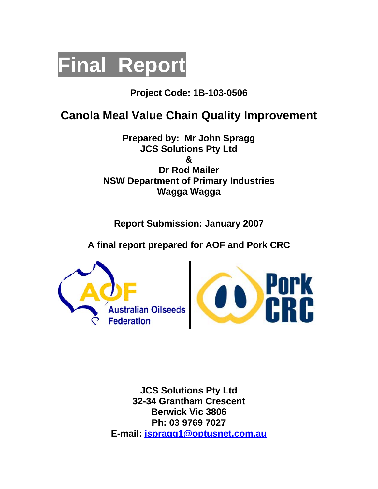

# **Project Code: 1B-103-0506**

# **Canola Meal Value Chain Quality Improvement**

**Prepared by: Mr John Spragg JCS Solutions Pty Ltd & Dr Rod Mailer NSW Department of Primary Industries Wagga Wagga** 

**Report Submission: January 2007** 

**A final report prepared for AOF and Pork CRC** 





**JCS Solutions Pty Ltd 32-34 Grantham Crescent Berwick Vic 3806 Ph: 03 9769 7027 E-mail: jspragg1@optusnet.com.au**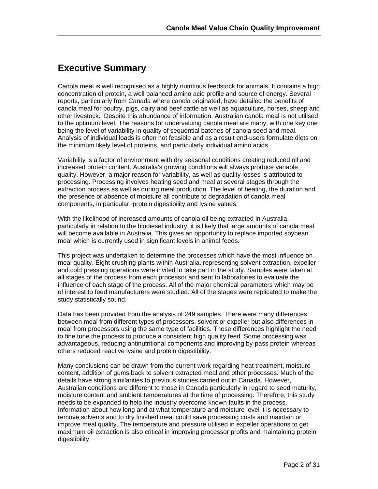### **Executive Summary**

Canola meal is well recognised as a highly nutritious feedstock for animals. It contains a high concentration of protein, a well balanced amino acid profile and source of energy. Several reports, particularly from Canada where canola originated, have detailed the benefits of canola meal for poultry, pigs, dairy and beef cattle as well as aquaculture, horses, sheep and other livestock. Despite this abundance of information, Australian canola meal is not utilised to the optimum level. The reasons for undervaluing canola meal are many, with one key one being the level of variability in quality of sequential batches of canola seed and meal. Analysis of individual loads is often not feasible and as a result end-users formulate diets on the minimum likely level of proteins, and particularly individual amino acids.

Variability is a factor of environment with dry seasonal conditions creating reduced oil and increased protein content. Australia's growing conditions will always produce variable quality. However, a major reason for variability, as well as quality losses is attributed to processing. Processing involves heating seed and meal at several stages through the extraction process as well as during meal production. The level of heating, the duration and the presence or absence of moisture all contribute to degradation of canola meal components, in particular, protein digestibility and lysine values.

With the likelihood of increased amounts of canola oil being extracted in Australia, particularly in relation to the biodiesel industry, it is likely that large amounts of canola meal will become available in Australia. This gives an opportunity to replace imported soybean meal which is currently used in significant levels in animal feeds.

This project was undertaken to determine the processes which have the most influence on meal quality. Eight crushing plants within Australia, representing solvent extraction, expeller and cold pressing operations were invited to take part in the study. Samples were taken at all stages of the process from each processor and sent to laboratories to evaluate the influence of each stage of the process. All of the major chemical parameters which may be of interest to feed manufacturers were studied. All of the stages were replicated to make the study statistically sound.

Data has been provided from the analysis of 249 samples. There were many differences between meal from different types of processors, solvent or expeller but also differences in meal from processors using the same type of facilities. These differences highlight the need to fine tune the process to produce a consistent high quality feed. Some processing was advantageous, reducing antinutritional components and improving by-pass protein whereas others reduced reactive lysine and protein digestibility.

Many conclusions can be drawn from the current work regarding heat treatment, moisture content, addition of gums back to solvent extracted meal and other processes. Much of the details have strong similarities to previous studies carried out in Canada. However, Australian conditions are different to those in Canada particularly in regard to seed maturity, moisture content and ambient temperatures at the time of processing. Therefore, this study needs to be expanded to help the industry overcome known faults in the process. Information about how long and at what temperature and moisture level it is necessary to remove solvents and to dry finished meal could save processing costs and maintain or improve meal quality. The temperature and pressure utilised in expeller operations to get maximum oil extraction is also critical in improving processor profits and maintaining protein digestibility.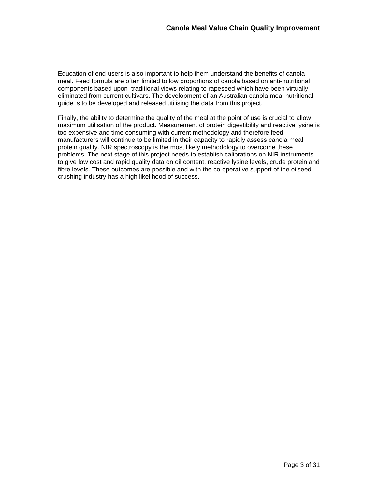Education of end-users is also important to help them understand the benefits of canola meal. Feed formula are often limited to low proportions of canola based on anti-nutritional components based upon traditional views relating to rapeseed which have been virtually eliminated from current cultivars. The development of an Australian canola meal nutritional guide is to be developed and released utilising the data from this project.

Finally, the ability to determine the quality of the meal at the point of use is crucial to allow maximum utilisation of the product. Measurement of protein digestibility and reactive lysine is too expensive and time consuming with current methodology and therefore feed manufacturers will continue to be limited in their capacity to rapidly assess canola meal protein quality. NIR spectroscopy is the most likely methodology to overcome these problems. The next stage of this project needs to establish calibrations on NIR instruments to give low cost and rapid quality data on oil content, reactive lysine levels, crude protein and fibre levels. These outcomes are possible and with the co-operative support of the oilseed crushing industry has a high likelihood of success.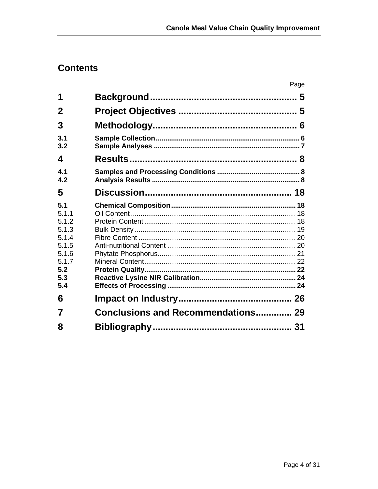# **Contents**

|                                                                                         |                                           | Page |
|-----------------------------------------------------------------------------------------|-------------------------------------------|------|
| 1                                                                                       |                                           |      |
| 2                                                                                       |                                           |      |
| 3                                                                                       |                                           |      |
| 3.1<br>3.2                                                                              |                                           |      |
| 4                                                                                       |                                           |      |
| 4.1<br>4.2                                                                              |                                           |      |
| 5                                                                                       |                                           |      |
| 5.1<br>5.1.1<br>5.1.2<br>5.1.3<br>5.1.4<br>5.1.5<br>5.1.6<br>5.1.7<br>5.2<br>5.3<br>5.4 |                                           |      |
| 6                                                                                       |                                           |      |
| 7                                                                                       | <b>Conclusions and Recommendations 29</b> |      |
| 8                                                                                       |                                           |      |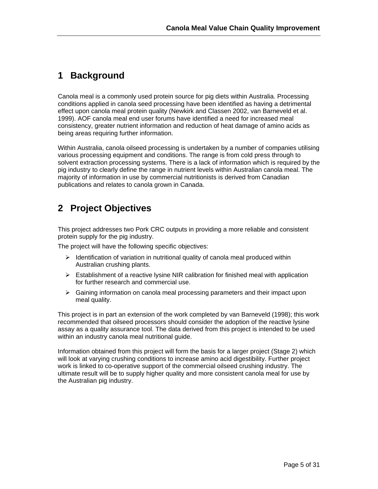### **1 Background**

Canola meal is a commonly used protein source for pig diets within Australia. Processing conditions applied in canola seed processing have been identified as having a detrimental effect upon canola meal protein quality (Newkirk and Classen 2002, van Barneveld et al. 1999). AOF canola meal end user forums have identified a need for increased meal consistency, greater nutrient information and reduction of heat damage of amino acids as being areas requiring further information.

Within Australia, canola oilseed processing is undertaken by a number of companies utilising various processing equipment and conditions. The range is from cold press through to solvent extraction processing systems. There is a lack of information which is required by the pig industry to clearly define the range in nutrient levels within Australian canola meal. The majority of information in use by commercial nutritionists is derived from Canadian publications and relates to canola grown in Canada.

## **2 Project Objectives**

This project addresses two Pork CRC outputs in providing a more reliable and consistent protein supply for the pig industry.

The project will have the following specific objectives:

- $\triangleright$  Identification of variation in nutritional quality of canola meal produced within Australian crushing plants.
- $\triangleright$  Establishment of a reactive lysine NIR calibration for finished meal with application for further research and commercial use.
- $\triangleright$  Gaining information on canola meal processing parameters and their impact upon meal quality.

This project is in part an extension of the work completed by van Barneveld (1998); this work recommended that oilseed processors should consider the adoption of the reactive lysine assay as a quality assurance tool. The data derived from this project is intended to be used within an industry canola meal nutritional guide.

Information obtained from this project will form the basis for a larger project (Stage 2) which will look at varying crushing conditions to increase amino acid digestibility. Further project work is linked to co-operative support of the commercial oilseed crushing industry. The ultimate result will be to supply higher quality and more consistent canola meal for use by the Australian pig industry.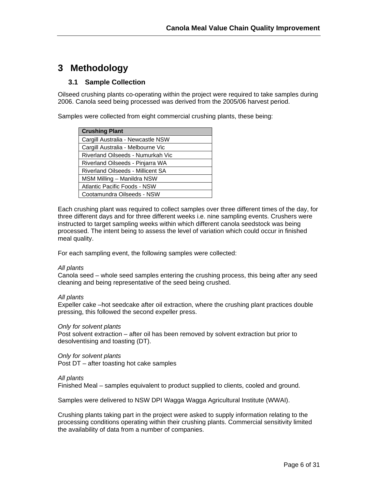# **3 Methodology**

#### **3.1 Sample Collection**

Oilseed crushing plants co-operating within the project were required to take samples during 2006. Canola seed being processed was derived from the 2005/06 harvest period.

Samples were collected from eight commercial crushing plants, these being:

| <b>Crushing Plant</b>             |
|-----------------------------------|
| Cargill Australia - Newcastle NSW |
| Cargill Australia - Melbourne Vic |
| Riverland Oilseeds - Numurkah Vic |
| Riverland Oilseeds - Pinjarra WA  |
| Riverland Oilseeds - Millicent SA |
| MSM Milling – Manildra NSW        |
| Atlantic Pacific Foods - NSW      |
| Cootamundra Oilseeds - NSW        |

Each crushing plant was required to collect samples over three different times of the day, for three different days and for three different weeks i.e. nine sampling events. Crushers were instructed to target sampling weeks within which different canola seedstock was being processed. The intent being to assess the level of variation which could occur in finished meal quality.

For each sampling event, the following samples were collected:

#### *All plants*

Canola seed – whole seed samples entering the crushing process, this being after any seed cleaning and being representative of the seed being crushed.

*All plants* 

Expeller cake –hot seedcake after oil extraction, where the crushing plant practices double pressing, this followed the second expeller press.

*Only for solvent plants*  Post solvent extraction – after oil has been removed by solvent extraction but prior to desolventising and toasting (DT).

*Only for solvent plants*  Post DT – after toasting hot cake samples

#### *All plants*

Finished Meal – samples equivalent to product supplied to clients, cooled and ground.

Samples were delivered to NSW DPI Wagga Wagga Agricultural Institute (WWAI).

Crushing plants taking part in the project were asked to supply information relating to the processing conditions operating within their crushing plants. Commercial sensitivity limited the availability of data from a number of companies.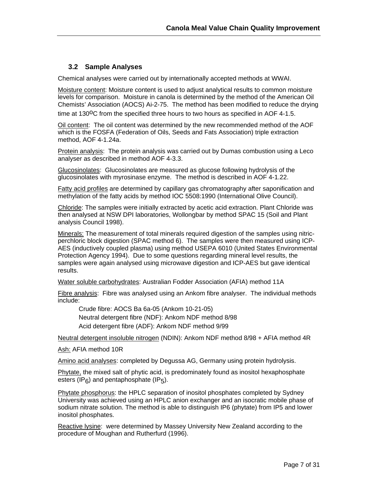#### **3.2 Sample Analyses**

Chemical analyses were carried out by internationally accepted methods at WWAI.

Moisture content: Moisture content is used to adjust analytical results to common moisture levels for comparison. Moisture in canola is determined by the method of the American Oil Chemists' Association (AOCS) Ai-2-75. The method has been modified to reduce the drying time at  $130^{\circ}$ C from the specified three hours to two hours as specified in AOF 4-1.5.

Oil content: The oil content was determined by the new recommended method of the AOF which is the FOSFA (Federation of Oils, Seeds and Fats Association) triple extraction method, AOF 4-1.24a.

Protein analysis: The protein analysis was carried out by Dumas combustion using a Leco analyser as described in method AOF 4-3.3.

Glucosinolates: Glucosinolates are measured as glucose following hydrolysis of the glucosinolates with myrosinase enzyme. The method is described in AOF 4-1.22.

Fatty acid profiles are determined by capillary gas chromatography after saponification and methylation of the fatty acids by method IOC 5508:1990 (International Olive Council).

Chloride: The samples were initially extracted by acetic acid extraction. Plant Chloride was then analysed at NSW DPI laboratories, Wollongbar by method SPAC 15 (Soil and Plant analysis Council 1998).

Minerals: The measurement of total minerals required digestion of the samples using nitricperchloric block digestion (SPAC method 6). The samples were then measured using ICP-AES (inductively coupled plasma) using method USEPA 6010 (United States Environmental Protection Agency 1994). Due to some questions regarding mineral level results, the samples were again analysed using microwave digestion and ICP-AES but gave identical results.

Water soluble carbohydrates: Australian Fodder Association (AFIA) method 11A

Fibre analysis: Fibre was analysed using an Ankom fibre analyser. The individual methods include:

Crude fibre: AOCS Ba 6a-05 (Ankom 10-21-05) Neutral detergent fibre (NDF): Ankom NDF method 8/98 Acid detergent fibre (ADF): Ankom NDF method 9/99

Neutral detergent insoluble nitrogen (NDIN): Ankom NDF method 8/98 + AFIA method 4R

Ash: AFIA method 10R

Amino acid analyses: completed by Degussa AG, Germany using protein hydrolysis.

Phytate, the mixed salt of phytic acid, is predominately found as inositol hexaphosphate esters (IP<sub>6</sub>) and pentaphosphate (IP<sub>5</sub>).

Phytate phosphorus: the HPLC separation of inositol phosphates completed by Sydney University was achieved using an HPLC anion exchanger and an isocratic mobile phase of sodium nitrate solution. The method is able to distinguish IP6 (phytate) from IP5 and lower inositol phosphates.

Reactive lysine: were determined by Massey University New Zealand according to the procedure of Moughan and Rutherfurd (1996).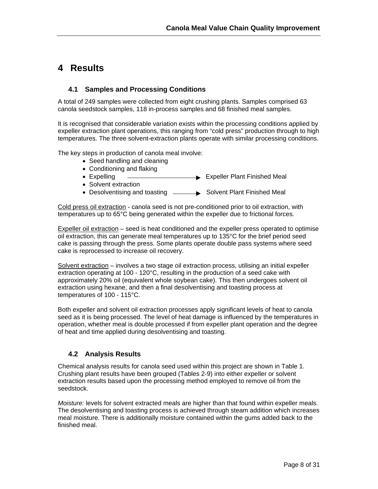### **4 Results**

#### **4.1 Samples and Processing Conditions**

A total of 249 samples were collected from eight crushing plants. Samples comprised 63 canola seedstock samples, 118 in-process samples and 68 finished meal samples.

It is recognised that considerable variation exists within the processing conditions applied by expeller extraction plant operations, this ranging from "cold press" production through to high temperatures. The three solvent-extraction plants operate with similar processing conditions.

The key steps in production of canola meal involve:

- Seed handling and cleaning
- Conditioning and flaking
- Expelling Expeller Plant Finished Meal
- Solvent extraction
- Desolventising and toasting  $\longrightarrow$  Solvent Plant Finished Meal

Cold press oil extraction - canola seed is not pre-conditioned prior to oil extraction, with temperatures up to 65°C being generated within the expeller due to frictional forces.

Expeller oil extraction – seed is heat conditioned and the expeller press operated to optimise oil extraction, this can generate meal temperatures up to 135°C for the brief period seed cake is passing through the press. Some plants operate double pass systems where seed cake is reprocessed to increase oil recovery.

Solvent extraction – involves a two stage oil extraction process, utilising an initial expeller extraction operating at 100 - 120°C, resulting in the production of a seed cake with approximately 20% oil (equivalent whole soybean cake). This then undergoes solvent oil extraction using hexane, and then a final desolventising and toasting process at temperatures of 100 - 115°C.

Both expeller and solvent oil extraction processes apply significant levels of heat to canola seed as it is being processed. The level of heat damage is influenced by the temperatures in operation, whether meal is double processed if from expeller plant operation and the degree of heat and time applied during desolventising and toasting.

#### **4.2 Analysis Results**

Chemical analysis results for canola seed used within this project are shown in Table 1. Crushing plant results have been grouped (Tables 2-9) into either expeller or solvent extraction results based upon the processing method employed to remove oil from the seedstock.

*Moisture:* levels for solvent extracted meals are higher than that found within expeller meals. The desolventising and toasting process is achieved through steam addition which increases meal moisture. There is additionally moisture contained within the gums added back to the finished meal.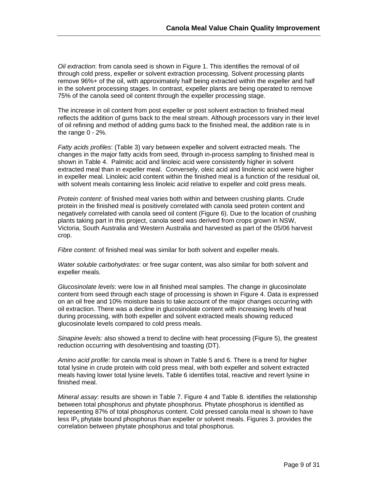*Oil extraction*: from canola seed is shown in Figure 1. This identifies the removal of oil through cold press, expeller or solvent extraction processing. Solvent processing plants remove 96%+ of the oil, with approximately half being extracted within the expeller and half in the solvent processing stages. In contrast, expeller plants are being operated to remove 75% of the canola seed oil content through the expeller processing stage.

The increase in oil content from post expeller or post solvent extraction to finished meal reflects the addition of gums back to the meal stream. Although processors vary in their level of oil refining and method of adding gums back to the finished meal, the addition rate is in the range 0 - 2%.

*Fatty acids profiles*: (Table 3) vary between expeller and solvent extracted meals. The changes in the major fatty acids from seed, through in-process sampling to finished meal is shown in Table 4. Palmitic acid and linoleic acid were consistently higher in solvent extracted meal than in expeller meal. Conversely, oleic acid and linolenic acid were higher in expeller meal. Linoleic acid content within the finished meal is a function of the residual oil, with solvent meals containing less linoleic acid relative to expeller and cold press meals.

*Protein content*: of finished meal varies both within and between crushing plants. Crude protein in the finished meal is positively correlated with canola seed protein content and negatively correlated with canola seed oil content (Figure 6). Due to the location of crushing plants taking part in this project, canola seed was derived from crops grown in NSW, Victoria, South Australia and Western Australia and harvested as part of the 05/06 harvest crop.

*Fibre content*: of finished meal was similar for both solvent and expeller meals.

*Water soluble carbohydrates*: or free sugar content, was also similar for both solvent and expeller meals.

*Glucosinolate levels*: were low in all finished meal samples. The change in glucosinolate content from seed through each stage of processing is shown in Figure 4. Data is expressed on an oil free and 10% moisture basis to take account of the major changes occurring with oil extraction. There was a decline in glucosinolate content with increasing levels of heat during processing, with both expeller and solvent extracted meals showing reduced glucosinolate levels compared to cold press meals.

*Sinapine levels:* also showed a trend to decline with heat processing (Figure 5), the greatest reduction occurring with desolventising and toasting (DT).

*Amino acid profile*: for canola meal is shown in Table 5 and 6. There is a trend for higher total lysine in crude protein with cold press meal, with both expeller and solvent extracted meals having lower total lysine levels. Table 6 identifies total, reactive and revert lysine in finished meal.

*Mineral assay*: results are shown in Table 7. Figure 4 and Table 8. identifies the relationship between total phosphorus and phytate phosphorus. Phytate phosphorus is identified as representing 87% of total phosphorus content. Cold pressed canola meal is shown to have less IP<sub>5</sub> phytate bound phosphorus than expeller or solvent meals. Figures 3. provides the correlation between phytate phosphorus and total phosphorus.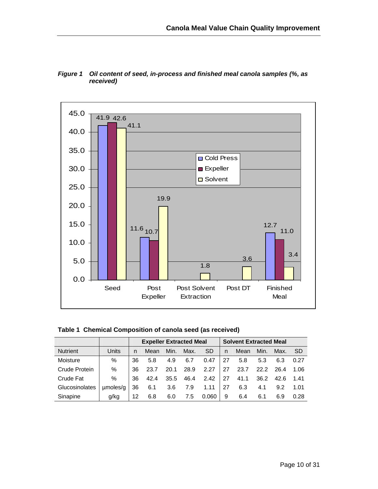

*Figure 1 Oil content of seed, in-process and finished meal canola samples (%, as received)* 

| Table 1 Chemical Composition of canola seed (as received) |  |  |  |
|-----------------------------------------------------------|--|--|--|
|-----------------------------------------------------------|--|--|--|

|                 |          | <b>Expeller Extracted Meal</b> |      |      |      |           | <b>Solvent Extracted Meal</b> |      |      |      |      |
|-----------------|----------|--------------------------------|------|------|------|-----------|-------------------------------|------|------|------|------|
| <b>Nutrient</b> | Units    | n                              | Mean | Min. | Max. | <b>SD</b> | n                             | Mean | Min. | Max. | -SD  |
| Moisture        | %        | 36                             | 5.8  | 4.9  | 6.7  | 0.47      | 27                            | 5.8  | 5.3  | 6.3  | 0.27 |
| Crude Protein   | %        | 36                             | 23.7 | 20.1 | 28.9 | 2.27      | 27                            | 23.7 | 22.2 | 26.4 | 1.06 |
| Crude Fat       | %        | 36                             | 42.4 | 35.5 | 46.4 | 2.42      | -27                           | 41.1 | 36.2 | 42.6 | 1.41 |
| Glucosinolates  | umoles/g | 36                             | 6.1  | 3.6  | 7.9  | 1.11      | 27                            | 6.3  | 4.1  | 9.2  | 1.01 |
| Sinapine        | g/kg     | 12                             | 6.8  | 6.0  | 7.5  | 0.060     | 9                             | 6.4  | 6.1  | 6.9  | 0.28 |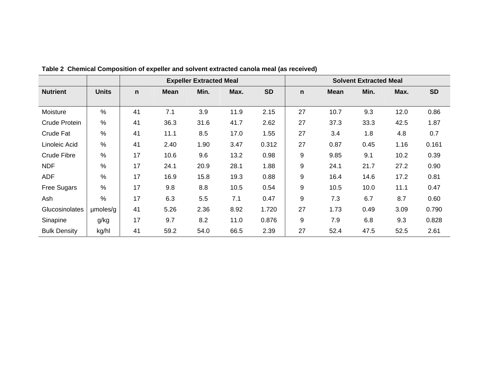|                     |              | <b>Expeller Extracted Meal</b> |             |      |      |           |    | <b>Solvent Extracted Meal</b> |      |      |           |
|---------------------|--------------|--------------------------------|-------------|------|------|-----------|----|-------------------------------|------|------|-----------|
| <b>Nutrient</b>     | <b>Units</b> | $\mathbf n$                    | <b>Mean</b> | Min. | Max. | <b>SD</b> | n  | <b>Mean</b>                   | Min. | Max. | <b>SD</b> |
|                     |              |                                |             |      |      |           |    |                               |      |      |           |
| Moisture            | %            | 41                             | 7.1         | 3.9  | 11.9 | 2.15      | 27 | 10.7                          | 9.3  | 12.0 | 0.86      |
| Crude Protein       | %            | 41                             | 36.3        | 31.6 | 41.7 | 2.62      | 27 | 37.3                          | 33.3 | 42.5 | 1.87      |
| <b>Crude Fat</b>    | %            | 41                             | 11.1        | 8.5  | 17.0 | 1.55      | 27 | 3.4                           | 1.8  | 4.8  | 0.7       |
| Linoleic Acid       | %            | 41                             | 2.40        | 1.90 | 3.47 | 0.312     | 27 | 0.87                          | 0.45 | 1.16 | 0.161     |
| <b>Crude Fibre</b>  | %            | 17                             | 10.6        | 9.6  | 13.2 | 0.98      | 9  | 9.85                          | 9.1  | 10.2 | 0.39      |
| <b>NDF</b>          | %            | 17                             | 24.1        | 20.9 | 28.1 | 1.88      | 9  | 24.1                          | 21.7 | 27.2 | 0.90      |
| <b>ADF</b>          | %            | 17                             | 16.9        | 15.8 | 19.3 | 0.88      | 9  | 16.4                          | 14.6 | 17.2 | 0.81      |
| <b>Free Sugars</b>  | %            | 17                             | 9.8         | 8.8  | 10.5 | 0.54      | 9  | 10.5                          | 10.0 | 11.1 | 0.47      |
| Ash                 | %            | 17                             | 6.3         | 5.5  | 7.1  | 0.47      | 9  | 7.3                           | 6.7  | 8.7  | 0.60      |
| Glucosinolates      | umoles/g     | 41                             | 5.26        | 2.36 | 8.92 | 1.720     | 27 | 1.73                          | 0.49 | 3.09 | 0.790     |
| Sinapine            | g/kg         | 17                             | 9.7         | 8.2  | 11.0 | 0.876     | 9  | 7.9                           | 6.8  | 9.3  | 0.828     |
| <b>Bulk Density</b> | kg/hl        | 41                             | 59.2        | 54.0 | 66.5 | 2.39      | 27 | 52.4                          | 47.5 | 52.5 | 2.61      |

**Table 2 Chemical Composition of expeller and solvent extracted canola meal (as received)**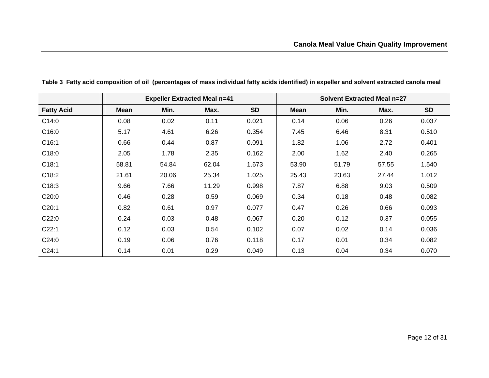|                   |             |       | <b>Expeller Extracted Meal n=41</b> |           |             |       | <b>Solvent Extracted Meal n=27</b> |           |
|-------------------|-------------|-------|-------------------------------------|-----------|-------------|-------|------------------------------------|-----------|
| <b>Fatty Acid</b> | <b>Mean</b> | Min.  | Max.                                | <b>SD</b> | <b>Mean</b> | Min.  | Max.                               | <b>SD</b> |
| C14:0             | 0.08        | 0.02  | 0.11                                | 0.021     | 0.14        | 0.06  | 0.26                               | 0.037     |
| C16:0             | 5.17        | 4.61  | 6.26                                | 0.354     | 7.45        | 6.46  | 8.31                               | 0.510     |
| C16:1             | 0.66        | 0.44  | 0.87                                | 0.091     | 1.82        | 1.06  | 2.72                               | 0.401     |
| C18:0             | 2.05        | 1.78  | 2.35                                | 0.162     | 2.00        | 1.62  | 2.40                               | 0.265     |
| C18:1             | 58.81       | 54.84 | 62.04                               | 1.673     | 53.90       | 51.79 | 57.55                              | 1.540     |
| C18:2             | 21.61       | 20.06 | 25.34                               | 1.025     | 25.43       | 23.63 | 27.44                              | 1.012     |
| C18:3             | 9.66        | 7.66  | 11.29                               | 0.998     | 7.87        | 6.88  | 9.03                               | 0.509     |
| C20:0             | 0.46        | 0.28  | 0.59                                | 0.069     | 0.34        | 0.18  | 0.48                               | 0.082     |
| C20:1             | 0.82        | 0.61  | 0.97                                | 0.077     | 0.47        | 0.26  | 0.66                               | 0.093     |
| C22:0             | 0.24        | 0.03  | 0.48                                | 0.067     | 0.20        | 0.12  | 0.37                               | 0.055     |
| C22:1             | 0.12        | 0.03  | 0.54                                | 0.102     | 0.07        | 0.02  | 0.14                               | 0.036     |
| C24:0             | 0.19        | 0.06  | 0.76                                | 0.118     | 0.17        | 0.01  | 0.34                               | 0.082     |
| C24:1             | 0.14        | 0.01  | 0.29                                | 0.049     | 0.13        | 0.04  | 0.34                               | 0.070     |

**Table 3 Fatty acid composition of oil (percentages of mass individual fatty acids identified) in expeller and solvent extracted canola meal**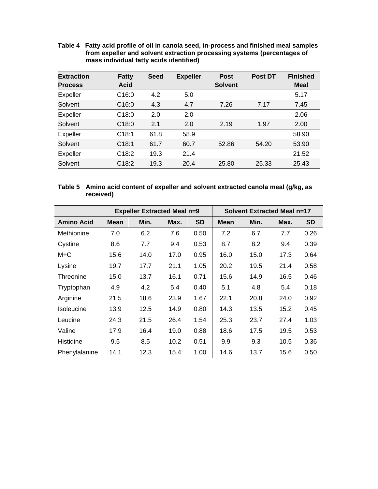**Table 4 Fatty acid profile of oil in canola seed, in-process and finished meal samples from expeller and solvent extraction processing systems (percentages of mass individual fatty acids identified)** 

| <b>Extraction</b><br><b>Process</b> | <b>Fatty</b><br><b>Acid</b> | <b>Seed</b> | <b>Expeller</b> | <b>Post</b><br><b>Solvent</b> | <b>Post DT</b> | <b>Finished</b><br><b>Meal</b> |
|-------------------------------------|-----------------------------|-------------|-----------------|-------------------------------|----------------|--------------------------------|
| <b>Expeller</b>                     | C16:0                       | 4.2         | 5.0             |                               |                | 5.17                           |
| Solvent                             | C16:0                       | 4.3         | 4.7             | 7.26                          | 7.17           | 7.45                           |
| <b>Expeller</b>                     | C18:0                       | 2.0         | 2.0             |                               |                | 2.06                           |
| Solvent                             | C18:0                       | 2.1         | 2.0             | 2.19                          | 1.97           | 2.00                           |
| <b>Expeller</b>                     | C18:1                       | 61.8        | 58.9            |                               |                | 58.90                          |
| Solvent                             | C18:1                       | 61.7        | 60.7            | 52.86                         | 54.20          | 53.90                          |
| <b>Expeller</b>                     | C18:2                       | 19.3        | 21.4            |                               |                | 21.52                          |
| Solvent                             | C18:2                       | 19.3        | 20.4            | 25.80                         | 25.33          | 25.43                          |

| Table 5 Amino acid content of expeller and solvent extracted canola meal (g/kg, as |  |
|------------------------------------------------------------------------------------|--|
| received)                                                                          |  |

|                   |             | <b>Solvent Extracted Meal n=17</b><br><b>Expeller Extracted Meal n=9</b> |      |           |             |      |      |           |
|-------------------|-------------|--------------------------------------------------------------------------|------|-----------|-------------|------|------|-----------|
| <b>Amino Acid</b> | <b>Mean</b> | Min.                                                                     | Max. | <b>SD</b> | <b>Mean</b> | Min. | Max. | <b>SD</b> |
| Methionine        | 7.0         | 6.2                                                                      | 7.6  | 0.50      | 7.2         | 6.7  | 7.7  | 0.26      |
| Cystine           | 8.6         | 7.7                                                                      | 9.4  | 0.53      | 8.7         | 8.2  | 9.4  | 0.39      |
| M+C               | 15.6        | 14.0                                                                     | 17.0 | 0.95      | 16.0        | 15.0 | 17.3 | 0.64      |
| Lysine            | 19.7        | 17.7                                                                     | 21.1 | 1.05      | 20.2        | 19.5 | 21.4 | 0.58      |
| Threonine         | 15.0        | 13.7                                                                     | 16.1 | 0.71      | 15.6        | 14.9 | 16.5 | 0.46      |
| Tryptophan        | 4.9         | 4.2                                                                      | 5.4  | 0.40      | 5.1         | 4.8  | 5.4  | 0.18      |
| Arginine          | 21.5        | 18.6                                                                     | 23.9 | 1.67      | 22.1        | 20.8 | 24.0 | 0.92      |
| <b>Isoleucine</b> | 13.9        | 12.5                                                                     | 14.9 | 0.80      | 14.3        | 13.5 | 15.2 | 0.45      |
| Leucine           | 24.3        | 21.5                                                                     | 26.4 | 1.54      | 25.3        | 23.7 | 27.4 | 1.03      |
| Valine            | 17.9        | 16.4                                                                     | 19.0 | 0.88      | 18.6        | 17.5 | 19.5 | 0.53      |
| Histidine         | 9.5         | 8.5                                                                      | 10.2 | 0.51      | 9.9         | 9.3  | 10.5 | 0.36      |
| Phenylalanine     | 14.1        | 12.3                                                                     | 15.4 | 1.00      | 14.6        | 13.7 | 15.6 | 0.50      |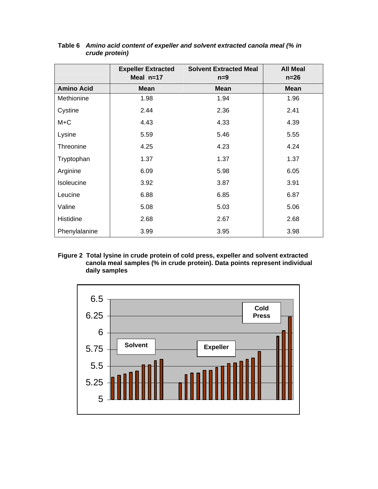|                   | <b>Expeller Extracted</b><br>Meal $n=17$ | <b>Solvent Extracted Meal</b><br>$n=9$ | <b>All Meal</b><br>$n=26$ |
|-------------------|------------------------------------------|----------------------------------------|---------------------------|
| <b>Amino Acid</b> | <b>Mean</b>                              | <b>Mean</b>                            | <b>Mean</b>               |
| Methionine        | 1.98                                     | 1.94                                   | 1.96                      |
| Cystine           | 2.44                                     | 2.36                                   | 2.41                      |
| $M+C$             | 4.43                                     | 4.33                                   | 4.39                      |
| Lysine            | 5.59                                     | 5.46                                   | 5.55                      |
| Threonine         | 4.25                                     | 4.23                                   | 4.24                      |
| Tryptophan        | 1.37                                     | 1.37                                   | 1.37                      |
| Arginine          | 6.09                                     | 5.98                                   | 6.05                      |
| Isoleucine        | 3.92                                     | 3.87                                   | 3.91                      |
| Leucine           | 6.88                                     | 6.85                                   | 6.87                      |
| Valine            | 5.08                                     | 5.03                                   | 5.06                      |
| Histidine         | 2.68                                     | 2.67                                   | 2.68                      |
| Phenylalanine     | 3.99                                     | 3.95                                   | 3.98                      |

#### **Table 6** *Amino acid content of expeller and solvent extracted canola meal (% in crude protein)*

**Figure 2 Total lysine in crude protein of cold press, expeller and solvent extracted canola meal samples (% in crude protein). Data points represent individual daily samples** 

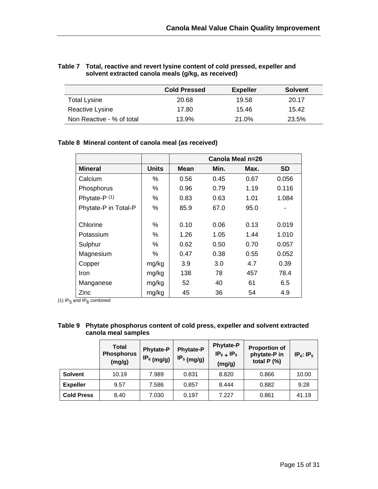| Table 7 Total, reactive and revert lysine content of cold pressed, expeller and |
|---------------------------------------------------------------------------------|
| solvent extracted canola meals (g/kg, as received)                              |

|                           | <b>Cold Pressed</b> | <b>Expeller</b> | <b>Solvent</b> |
|---------------------------|---------------------|-----------------|----------------|
| <b>Total Lysine</b>       | 20.68               | 19.58           | 20.17          |
| Reactive Lysine           | 17.80               | 15.46           | 15.42          |
| Non Reactive - % of total | 13.9%               | 21.0%           | 23.5%          |

### **Table 8 Mineral content of canola meal (as received)**

|                      |              |      |      | Canola Meal n=26 |           |
|----------------------|--------------|------|------|------------------|-----------|
| <b>Mineral</b>       | <b>Units</b> | Mean | Min. | Max.             | <b>SD</b> |
| Calcium              | %            | 0.56 | 0.45 | 0.67             | 0.056     |
| Phosphorus           | ℅            | 0.96 | 0.79 | 1.19             | 0.116     |
| Phytate-P (1)        | ℅            | 0.83 | 0.63 | 1.01             | 1.084     |
| Phytate-P in Total-P | %            | 85.9 | 67.0 | 95.0             |           |
|                      |              |      |      |                  |           |
| Chlorine             | %            | 0.10 | 0.06 | 0.13             | 0.019     |
| Potassium            | %            | 1.26 | 1.05 | 1.44             | 1.010     |
| Sulphur              | ℅            | 0.62 | 0.50 | 0.70             | 0.057     |
| Magnesium            | %            | 0.47 | 0.38 | 0.55             | 0.052     |
| Copper               | mg/kg        | 3.9  | 3.0  | 4.7              | 0.39      |
| <b>Iron</b>          | mg/kg        | 138  | 78   | 457              | 78.4      |
| Manganese            | mg/kg        | 52   | 40   | 61               | 6.5       |
| Zinc                 | mg/kg        | 45   | 36   | 54               | 4.9       |

(1) IP<sub>5</sub> and IP<sub>6</sub> combined

| Table 9 Phytate phosphorus content of cold press, expeller and solvent extracted |
|----------------------------------------------------------------------------------|
| canola meal samples                                                              |

|                   | Total<br><b>Phosphorus</b><br>(mg/g) | <b>Phytate-P</b><br>IP <sub>6</sub> (mg/g) | <b>Phytate-P</b><br>$IP_5$ (mg/g) | <b>Phytate-P</b><br>$IP_6$ + $IP_5$<br>(mg/g) | <b>Proportion of</b><br>phytate-P in<br>total $P$ (%) | $IP_6$ : $IP_5$ |
|-------------------|--------------------------------------|--------------------------------------------|-----------------------------------|-----------------------------------------------|-------------------------------------------------------|-----------------|
| <b>Solvent</b>    | 10.19                                | 7.989                                      | 0.831                             | 8.820                                         | 0.866                                                 | 10.00           |
| <b>Expeller</b>   | 9.57                                 | 7.586                                      | 0.857                             | 8.444                                         | 0.882                                                 | 9.28            |
| <b>Cold Press</b> | 8.40                                 | 7.030                                      | 0.197                             | 7.227                                         | 0.861                                                 | 41.19           |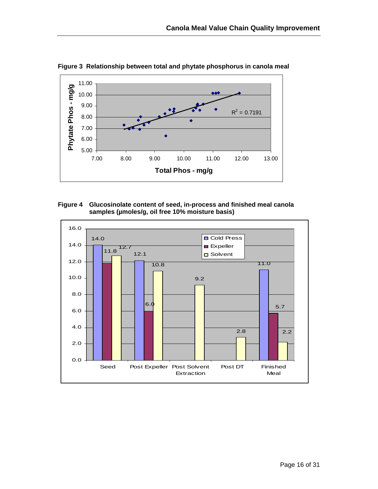

**Figure 3 Relationship between total and phytate phosphorus in canola meal** 



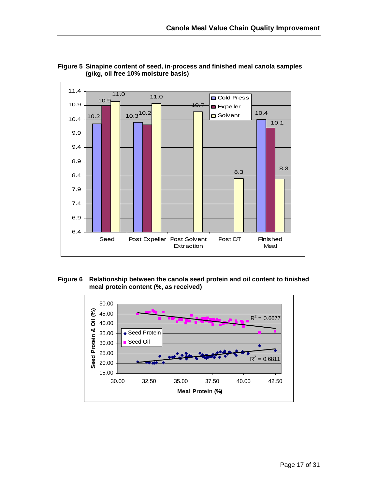



#### **Figure 6 Relationship between the canola seed protein and oil content to finished meal protein content (%, as received)**

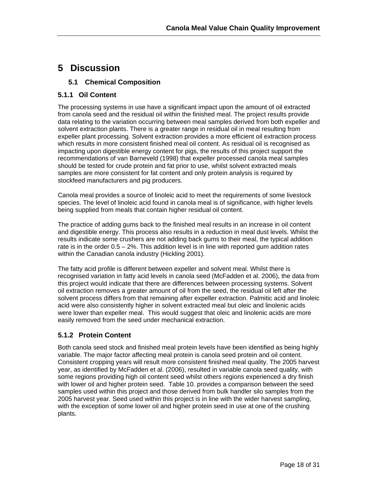# **5 Discussion**

#### **5.1 Chemical Composition**

### **5.1.1 Oil Content**

The processing systems in use have a significant impact upon the amount of oil extracted from canola seed and the residual oil within the finished meal. The project results provide data relating to the variation occurring between meal samples derived from both expeller and solvent extraction plants. There is a greater range in residual oil in meal resulting from expeller plant processing. Solvent extraction provides a more efficient oil extraction process which results in more consistent finished meal oil content. As residual oil is recognised as impacting upon digestible energy content for pigs, the results of this project support the recommendations of van Barneveld (1998) that expeller processed canola meal samples should be tested for crude protein and fat prior to use, whilst solvent extracted meals samples are more consistent for fat content and only protein analysis is required by stockfeed manufacturers and pig producers.

Canola meal provides a source of linoleic acid to meet the requirements of some livestock species. The level of linoleic acid found in canola meal is of significance, with higher levels being supplied from meals that contain higher residual oil content.

The practice of adding gums back to the finished meal results in an increase in oil content and digestible energy. This process also results in a reduction in meal dust levels. Whilst the results indicate some crushers are not adding back gums to their meal, the typical addition rate is in the order 0.5 – 2%. This addition level is in line with reported gum addition rates within the Canadian canola industry (Hickling 2001).

The fatty acid profile is different between expeller and solvent meal. Whilst there is recognised variation in fatty acid levels in canola seed (McFadden et al. 2006), the data from this project would indicate that there are differences between processing systems. Solvent oil extraction removes a greater amount of oil from the seed, the residual oil left after the solvent process differs from that remaining after expeller extraction. Palmitic acid and linoleic acid were also consistently higher in solvent extracted meal but oleic and linolenic acids were lower than expeller meal. This would suggest that oleic and linolenic acids are more easily removed from the seed under mechanical extraction.

### **5.1.2 Protein Content**

Both canola seed stock and finished meal protein levels have been identified as being highly variable. The major factor affecting meal protein is canola seed protein and oil content. Consistent cropping years will result more consistent finished meal quality. The 2005 harvest year, as identified by McFadden et al. (2006), resulted in variable canola seed quality, with some regions providing high oil content seed whilst others regions experienced a dry finish with lower oil and higher protein seed. Table 10. provides a comparison between the seed samples used within this project and those derived from bulk handler silo samples from the 2005 harvest year. Seed used within this project is in line with the wider harvest sampling, with the exception of some lower oil and higher protein seed in use at one of the crushing plants.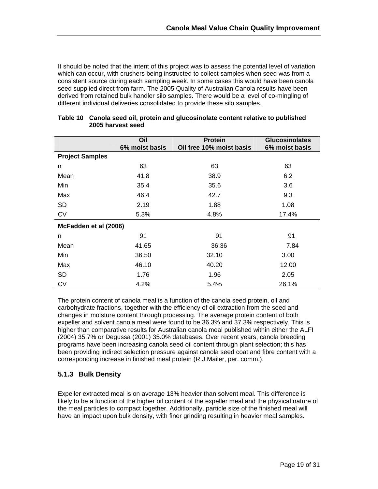It should be noted that the intent of this project was to assess the potential level of variation which can occur, with crushers being instructed to collect samples when seed was from a consistent source during each sampling week. In some cases this would have been canola seed supplied direct from farm. The 2005 Quality of Australian Canola results have been derived from retained bulk handler silo samples. There would be a level of co-mingling of different individual deliveries consolidated to provide these silo samples.

|                        | Oil            | <b>Protein</b>           | <b>Glucosinolates</b> |  |
|------------------------|----------------|--------------------------|-----------------------|--|
|                        | 6% moist basis | Oil free 10% moist basis | 6% moist basis        |  |
| <b>Project Samples</b> |                |                          |                       |  |
| n                      | 63             | 63                       | 63                    |  |
| Mean                   | 41.8           | 38.9                     | 6.2                   |  |
| Min                    | 35.4           | 35.6                     | 3.6                   |  |
| Max                    | 46.4           | 42.7                     | 9.3                   |  |
| <b>SD</b>              | 2.19           | 1.88                     | 1.08                  |  |
| <b>CV</b>              | 5.3%           | 4.8%                     | 17.4%                 |  |
| McFadden et al (2006)  |                |                          |                       |  |
| n                      | 91             | 91                       | 91                    |  |
| Mean                   | 41.65          | 36.36                    | 7.84                  |  |
| Min                    | 36.50          | 32.10                    | 3.00                  |  |
| Max                    | 46.10          | 40.20                    | 12.00                 |  |
| <b>SD</b>              | 1.76           | 1.96                     | 2.05                  |  |
| <b>CV</b>              | 4.2%           | 5.4%                     | 26.1%                 |  |

#### **Table 10 Canola seed oil, protein and glucosinolate content relative to published 2005 harvest seed**

The protein content of canola meal is a function of the canola seed protein, oil and carbohydrate fractions, together with the efficiency of oil extraction from the seed and changes in moisture content through processing. The average protein content of both expeller and solvent canola meal were found to be 36.3% and 37.3% respectively. This is higher than comparative results for Australian canola meal published within either the ALFI (2004) 35.7% or Degussa (2001) 35.0% databases. Over recent years, canola breeding programs have been increasing canola seed oil content through plant selection; this has been providing indirect selection pressure against canola seed coat and fibre content with a corresponding increase in finished meal protein (R.J.Mailer, per. comm.).

### **5.1.3 Bulk Density**

Expeller extracted meal is on average 13% heavier than solvent meal. This difference is likely to be a function of the higher oil content of the expeller meal and the physical nature of the meal particles to compact together. Additionally, particle size of the finished meal will have an impact upon bulk density, with finer grinding resulting in heavier meal samples.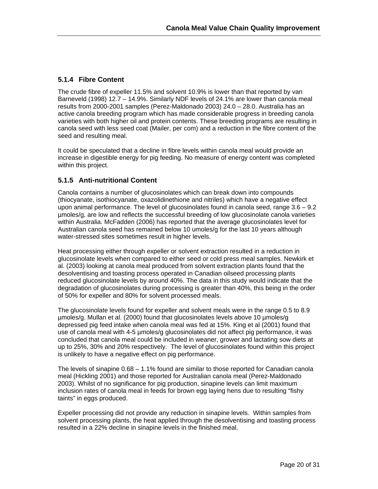### **5.1.4 Fibre Content**

The crude fibre of expeller 11.5% and solvent 10.9% is lower than that reported by van Barneveld (1998) 12.7 – 14.9%. Similarly NDF levels of 24.1% are lower than canola meal results from 2000-2001 samples (Perez-Maldonado 2003) 24.0 – 28.0. Australia has an active canola breeding program which has made considerable progress in breeding canola varieties with both higher oil and protein contents. These breeding programs are resulting in canola seed with less seed coat (Mailer, per com) and a reduction in the fibre content of the seed and resulting meal.

It could be speculated that a decline in fibre levels within canola meal would provide an increase in digestible energy for pig feeding. No measure of energy content was completed within this project.

### **5.1.5 Anti-nutritional Content**

Canola contains a number of glucosinolates which can break down into compounds (thiocyanate, isothiocyanate, oxazolidinethione and nitriles) which have a negative effect upon animal performance. The level of glucosinolates found in canola seed, range 3.6 – 9.2 µmoles/g, are low and reflects the successful breeding of low glucosinolate canola varieties within Australia. McFadden (2006) has reported that the average glucosinolates level for Australian canola seed has remained below 10 umoles/g for the last 10 years although water-stressed sites sometimes result in higher levels.

Heat processing either through expeller or solvent extraction resulted in a reduction in glucosinolate levels when compared to either seed or cold press meal samples. Newkirk et al. (2003) looking at canola meal produced from solvent extraction plants found that the desolventising and toasting process operated in Canadian oilseed processing plants reduced glucosinolate levels by around 40%. The data in this study would indicate that the degradation of glucosinolates during processing is greater than 40%, this being in the order of 50% for expeller and 80% for solvent processed meals.

The glucosinolate levels found for expeller and solvent meals were in the range 0.5 to 8.9 µmoles/g. Mullan et al. (2000) found that glucosinolates levels above 10 µmoles/g depressed pig feed intake when canola meal was fed at 15%. King et al (2001) found that use of canola meal with 4-5 µmoles/g glucosinolates did not affect pig performance, it was concluded that canola meal could be included in weaner, grower and lactating sow diets at up to 25%, 30% and 20% respectively. The level of glucosinolates found within this project is unlikely to have a negative effect on pig performance.

The levels of sinapine 0.68 – 1.1% found are similar to those reported for Canadian canola meal (Hickling 2001) and those reported for Australian canola meal (Perez-Maldonado 2003). Whilst of no significance for pig production, sinapine levels can limit maximum inclusion rates of canola meal in feeds for brown egg laying hens due to resulting "fishy taints" in eggs produced.

Expeller processing did not provide any reduction in sinapine levels. Within samples from solvent processing plants, the heat applied through the desolventising and toasting process resulted in a 22% decline in sinapine levels in the finished meal.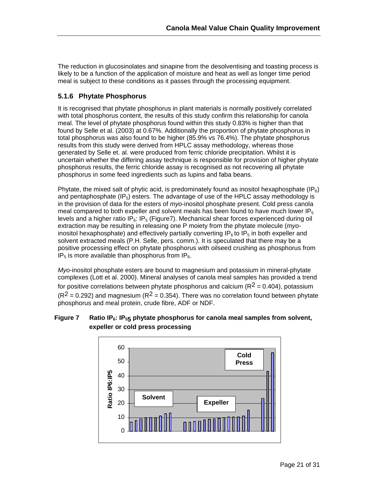The reduction in glucosinolates and sinapine from the desolventising and toasting process is likely to be a function of the application of moisture and heat as well as longer time period meal is subject to these conditions as it passes through the processing equipment.

### **5.1.6 Phytate Phosphorus**

It is recognised that phytate phosphorus in plant materials is normally positively correlated with total phosphorus content, the results of this study confirm this relationship for canola meal. The level of phytate phosphorus found within this study 0.83% is higher than that found by Selle et al. (2003) at 0.67%. Additionally the proportion of phytate phosphorus in total phosphorus was also found to be higher (85.9% vs 76.4%). The phytate phosphorus results from this study were derived from HPLC assay methodology, whereas those generated by Selle et. al. were produced from ferric chloride precipitation. Whilst it is uncertain whether the differing assay technique is responsible for provision of higher phytate phosphorus results, the ferric chloride assay is recognised as not recovering all phytate phosphorus in some feed ingredients such as lupins and faba beans.

Phytate, the mixed salt of phytic acid, is predominately found as inositol hexaphosphate (IP $_6$ ) and pentaphosphate  $(\text{IP}_5)$  esters. The advantage of use of the HPLC assay methodology is in the provision of data for the esters of *myo*-inositol phosphate present. Cold press canola meal compared to both expeller and solvent meals has been found to have much lower  $IP_5$ levels and a higher ratio IP<sub>6</sub>: IP<sub>5</sub> (Figure7). Mechanical shear forces experienced during oil extraction may be resulting in releasing one P moiety from the phytate molecule (*myo*inositol hexaphosphate) and effectively partially converting  $IP_6$  to  $IP_5$  in both expeller and solvent extracted meals (P.H. Selle, pers. comm.). It is speculated that there may be a positive processing effect on phytate phosphorus with oilseed crushing as phosphorus from  $IP<sub>5</sub>$  is more available than phosphorus from  $IP<sub>6</sub>$ .

*Myo*-inositol phosphate esters are bound to magnesium and potassium in mineral-phytate complexes (Lott et al. 2000). Mineral analyses of canola meal samples has provided a trend for positive correlations between phytate phosphorus and calcium ( $R^2$  = 0.404), potassium  $(R^2 = 0.292)$  and magnesium  $(R^2 = 0.354)$ . There was no correlation found between phytate phosphorus and meal protein, crude fibre, ADF or NDF.

#### Figure 7 Ratio IP<sub>6</sub>: IP<sub>55</sub> phytate phosphorus for canola meal samples from solvent, **expeller or cold press processing**

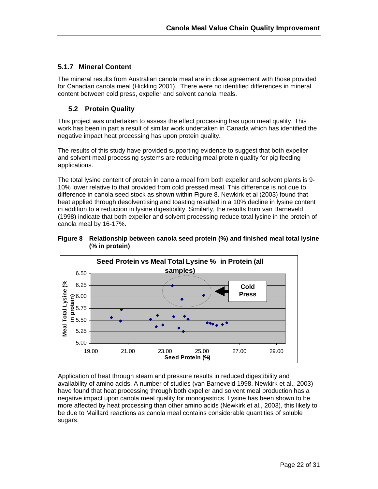#### **5.1.7 Mineral Content**

The mineral results from Australian canola meal are in close agreement with those provided for Canadian canola meal (Hickling 2001). There were no identified differences in mineral content between cold press, expeller and solvent canola meals.

### **5.2 Protein Quality**

This project was undertaken to assess the effect processing has upon meal quality. This work has been in part a result of similar work undertaken in Canada which has identified the negative impact heat processing has upon protein quality.

The results of this study have provided supporting evidence to suggest that both expeller and solvent meal processing systems are reducing meal protein quality for pig feeding applications.

The total lysine content of protein in canola meal from both expeller and solvent plants is 9- 10% lower relative to that provided from cold pressed meal. This difference is not due to difference in canola seed stock as shown within Figure 8. Newkirk et al (2003) found that heat applied through desolventising and toasting resulted in a 10% decline in lysine content in addition to a reduction in lysine digestibility. Similarly, the results from van Barneveld (1998) indicate that both expeller and solvent processing reduce total lysine in the protein of canola meal by 16-17%.





Application of heat through steam and pressure results in reduced digestibility and availability of amino acids. A number of studies (van Barneveld 1998, Newkirk et al., 2003) have found that heat processing through both expeller and solvent meal production has a negative impact upon canola meal quality for monogastrics. Lysine has been shown to be more affected by heat processing than other amino acids (Newkirk et al., 2003), this likely to be due to Maillard reactions as canola meal contains considerable quantities of soluble sugars.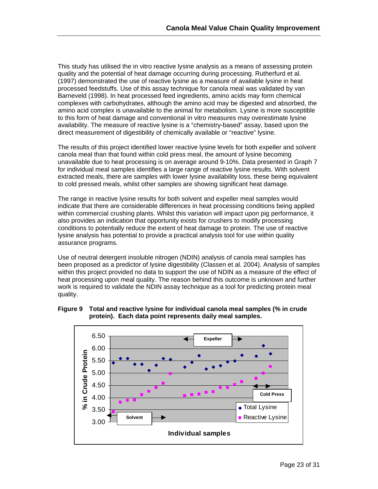This study has utilised the in vitro reactive lysine analysis as a means of assessing protein quality and the potential of heat damage occurring during processing. Rutherfurd et al. (1997) demonstrated the use of reactive lysine as a measure of available lysine in heat processed feedstuffs. Use of this assay technique for canola meal was validated by van Barneveld (1998). In heat processed feed ingredients, amino acids may form chemical complexes with carbohydrates, although the amino acid may be digested and absorbed, the amino acid complex is unavailable to the animal for metabolism. Lysine is more susceptible to this form of heat damage and conventional in vitro measures may overestimate lysine availability. The measure of reactive lysine is a "chemistry-based" assay, based upon the direct measurement of digestibility of chemically available or "reactive" lysine.

The results of this project identified lower reactive lysine levels for both expeller and solvent canola meal than that found within cold press meal, the amount of lysine becoming unavailable due to heat processing is on average around 9-10%. Data presented in Graph 7 for individual meal samples identifies a large range of reactive lysine results. With solvent extracted meals, there are samples with lower lysine availability loss, these being equivalent to cold pressed meals, whilst other samples are showing significant heat damage.

The range in reactive lysine results for both solvent and expeller meal samples would indicate that there are considerable differences in heat processing conditions being applied within commercial crushing plants. Whilst this variation will impact upon pig performance, it also provides an indication that opportunity exists for crushers to modify processing conditions to potentially reduce the extent of heat damage to protein. The use of reactive lysine analysis has potential to provide a practical analysis tool for use within quality assurance programs.

Use of neutral detergent insoluble nitrogen (NDIN) analysis of canola meal samples has been proposed as a predictor of lysine digestibility (Classen et al. 2004). Analysis of samples within this project provided no data to support the use of NDIN as a measure of the effect of heat processing upon meal quality. The reason behind this outcome is unknown and further work is required to validate the NDIN assay technique as a tool for predicting protein meal quality.



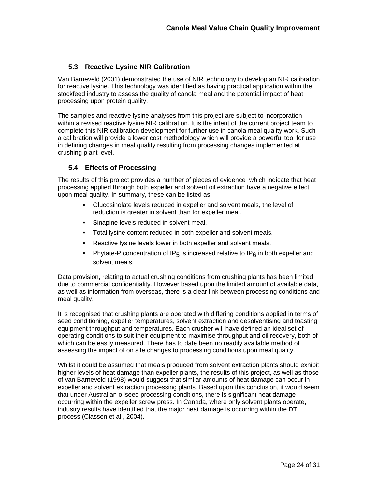### **5.3 Reactive Lysine NIR Calibration**

Van Barneveld (2001) demonstrated the use of NIR technology to develop an NIR calibration for reactive lysine. This technology was identified as having practical application within the stockfeed industry to assess the quality of canola meal and the potential impact of heat processing upon protein quality.

The samples and reactive lysine analyses from this project are subject to incorporation within a revised reactive lysine NIR calibration. It is the intent of the current project team to complete this NIR calibration development for further use in canola meal quality work. Such a calibration will provide a lower cost methodology which will provide a powerful tool for use in defining changes in meal quality resulting from processing changes implemented at crushing plant level.

### **5.4 Effects of Processing**

The results of this project provides a number of pieces of evidence which indicate that heat processing applied through both expeller and solvent oil extraction have a negative effect upon meal quality. In summary, these can be listed as:

- Glucosinolate levels reduced in expeller and solvent meals, the level of reduction is greater in solvent than for expeller meal.
- Sinapine levels reduced in solvent meal.
- Total lysine content reduced in both expeller and solvent meals.
- Reactive lysine levels lower in both expeller and solvent meals.
- Phytate-P concentration of IP<sub>5</sub> is increased relative to IP<sub>6</sub> in both expeller and solvent meals.

Data provision, relating to actual crushing conditions from crushing plants has been limited due to commercial confidentiality. However based upon the limited amount of available data, as well as information from overseas, there is a clear link between processing conditions and meal quality.

It is recognised that crushing plants are operated with differing conditions applied in terms of seed conditioning, expeller temperatures, solvent extraction and desolventising and toasting equipment throughput and temperatures. Each crusher will have defined an ideal set of operating conditions to suit their equipment to maximise throughput and oil recovery, both of which can be easily measured. There has to date been no readily available method of assessing the impact of on site changes to processing conditions upon meal quality.

Whilst it could be assumed that meals produced from solvent extraction plants should exhibit higher levels of heat damage than expeller plants, the results of this project, as well as those of van Barneveld (1998) would suggest that similar amounts of heat damage can occur in expeller and solvent extraction processing plants. Based upon this conclusion, it would seem that under Australian oilseed processing conditions, there is significant heat damage occurring within the expeller screw press. In Canada, where only solvent plants operate, industry results have identified that the major heat damage is occurring within the DT process (Classen et al., 2004).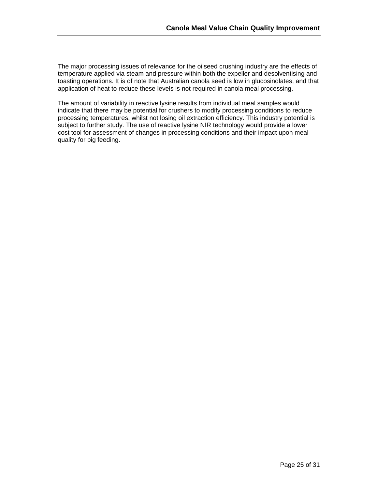The major processing issues of relevance for the oilseed crushing industry are the effects of temperature applied via steam and pressure within both the expeller and desolventising and toasting operations. It is of note that Australian canola seed is low in glucosinolates, and that application of heat to reduce these levels is not required in canola meal processing.

The amount of variability in reactive lysine results from individual meal samples would indicate that there may be potential for crushers to modify processing conditions to reduce processing temperatures, whilst not losing oil extraction efficiency. This industry potential is subject to further study. The use of reactive lysine NIR technology would provide a lower cost tool for assessment of changes in processing conditions and their impact upon meal quality for pig feeding.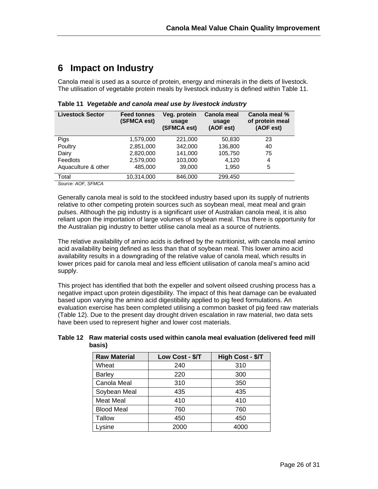# **6 Impact on Industry**

Canola meal is used as a source of protein, energy and minerals in the diets of livestock. The utilisation of vegetable protein meals by livestock industry is defined within Table 11.

| <b>Livestock Sector</b> | <b>Feed tonnes</b><br>(SFMCA est) | Veg. protein<br>usage<br>(SFMCA est) | <b>Canola meal</b><br>usage<br>(AOF est) | Canola meal %<br>of protein meal<br>(AOF est) |
|-------------------------|-----------------------------------|--------------------------------------|------------------------------------------|-----------------------------------------------|
| Pigs                    | 1,579,000                         | 221,000                              | 50,830                                   | 23                                            |
| Poultry                 | 2,851,000                         | 342,000                              | 136,800                                  | 40                                            |
| Dairy                   | 2,820,000                         | 141.000                              | 105,750                                  | 75                                            |
| Feedlots                | 2,579,000                         | 103,000                              | 4,120                                    | 4                                             |
| Aquaculture & other     | 485,000                           | 39,000                               | 1,950                                    | 5                                             |
| Total                   | 10,314,000                        | 846,000                              | 299,450                                  |                                               |

**Table 11** *Vegetable and canola meal use by livestock industry* 

*Source: AOF, SFMCA* 

Generally canola meal is sold to the stockfeed industry based upon its supply of nutrients relative to other competing protein sources such as soybean meal, meat meal and grain pulses. Although the pig industry is a significant user of Australian canola meal, it is also reliant upon the importation of large volumes of soybean meal. Thus there is opportunity for the Australian pig industry to better utilise canola meal as a source of nutrients.

The relative availability of amino acids is defined by the nutritionist, with canola meal amino acid availability being defined as less than that of soybean meal. This lower amino acid availability results in a downgrading of the relative value of canola meal, which results in lower prices paid for canola meal and less efficient utilisation of canola meal's amino acid supply.

This project has identified that both the expeller and solvent oilseed crushing process has a negative impact upon protein digestibility. The impact of this heat damage can be evaluated based upon varying the amino acid digestibility applied to pig feed formulations. An evaluation exercise has been completed utilising a common basket of pig feed raw materials (Table 12). Due to the present day drought driven escalation in raw material, two data sets have been used to represent higher and lower cost materials.

#### **Table 12 Raw material costs used within canola meal evaluation (delivered feed mill basis)**

| <b>Raw Material</b> | Low Cost - \$/T | High Cost - \$/T |
|---------------------|-----------------|------------------|
| Wheat               | 240             | 310              |
| <b>Barley</b>       | 220             | 300              |
| Canola Meal         | 310             | 350              |
| Soybean Meal        | 435             | 435              |
| <b>Meat Meal</b>    | 410             | 410              |
| <b>Blood Meal</b>   | 760             | 760              |
| Tallow              | 450             | 450              |
| Lysine              | 2000            | 4000             |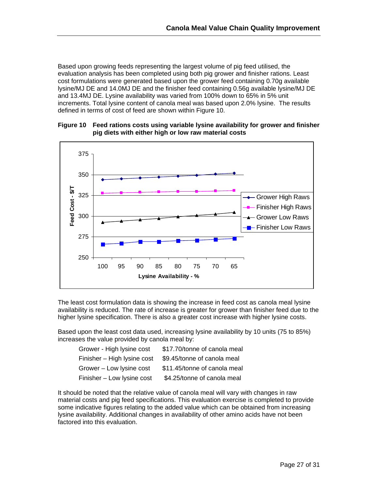Based upon growing feeds representing the largest volume of pig feed utilised, the evaluation analysis has been completed using both pig grower and finisher rations. Least cost formulations were generated based upon the grower feed containing 0.70g available lysine/MJ DE and 14.0MJ DE and the finisher feed containing 0.56g available lysine/MJ DE and 13.4MJ DE. Lysine availability was varied from 100% down to 65% in 5% unit increments. Total lysine content of canola meal was based upon 2.0% lysine. The results defined in terms of cost of feed are shown within Figure 10.



**Figure 10 Feed rations costs using variable lysine availability for grower and finisher pig diets with either high or low raw material costs** 

The least cost formulation data is showing the increase in feed cost as canola meal lysine availability is reduced. The rate of increase is greater for grower than finisher feed due to the higher lysine specification. There is also a greater cost increase with higher lysine costs.

Based upon the least cost data used, increasing lysine availability by 10 units (75 to 85%) increases the value provided by canola meal by:

| Grower - High lysine cost   | \$17.70/tonne of canola meal |
|-----------------------------|------------------------------|
| Finisher - High lysine cost | \$9.45/tonne of canola meal  |
| Grower - Low lysine cost    | \$11.45/tonne of canola meal |
| Finisher - Low lysine cost  | \$4.25/tonne of canola meal  |

It should be noted that the relative value of canola meal will vary with changes in raw material costs and pig feed specifications. This evaluation exercise is completed to provide some indicative figures relating to the added value which can be obtained from increasing lysine availability. Additional changes in availability of other amino acids have not been factored into this evaluation.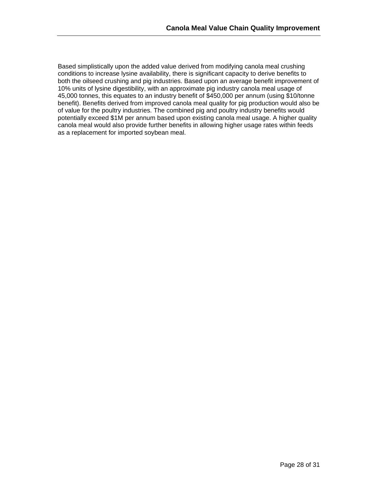Based simplistically upon the added value derived from modifying canola meal crushing conditions to increase lysine availability, there is significant capacity to derive benefits to both the oilseed crushing and pig industries. Based upon an average benefit improvement of 10% units of lysine digestibility, with an approximate pig industry canola meal usage of 45,000 tonnes, this equates to an industry benefit of \$450,000 per annum (using \$10/tonne benefit). Benefits derived from improved canola meal quality for pig production would also be of value for the poultry industries. The combined pig and poultry industry benefits would potentially exceed \$1M per annum based upon existing canola meal usage. A higher quality canola meal would also provide further benefits in allowing higher usage rates within feeds as a replacement for imported soybean meal.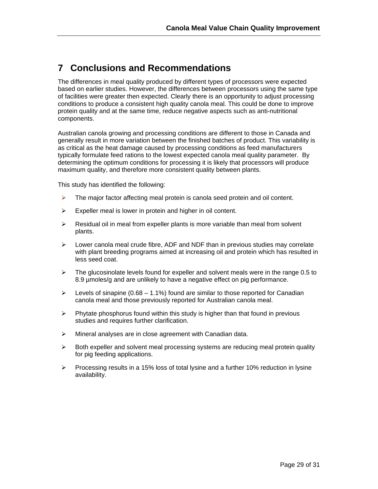### **7 Conclusions and Recommendations**

The differences in meal quality produced by different types of processors were expected based on earlier studies. However, the differences between processors using the same type of facilities were greater then expected. Clearly there is an opportunity to adjust processing conditions to produce a consistent high quality canola meal. This could be done to improve protein quality and at the same time, reduce negative aspects such as anti-nutritional components.

Australian canola growing and processing conditions are different to those in Canada and generally result in more variation between the finished batches of product. This variability is as critical as the heat damage caused by processing conditions as feed manufacturers typically formulate feed rations to the lowest expected canola meal quality parameter. By determining the optimum conditions for processing it is likely that processors will produce maximum quality, and therefore more consistent quality between plants.

This study has identified the following:

- $\blacktriangleright$  The major factor affecting meal protein is canola seed protein and oil content.
- $\triangleright$  Expeller meal is lower in protein and higher in oil content.
- $\triangleright$  Residual oil in meal from expeller plants is more variable than meal from solvent plants.
- $\triangleright$  Lower canola meal crude fibre, ADF and NDF than in previous studies may correlate with plant breeding programs aimed at increasing oil and protein which has resulted in less seed coat.
- $\blacktriangleright$  The glucosinolate levels found for expeller and solvent meals were in the range 0.5 to 8.9 µmoles/g and are unlikely to have a negative effect on pig performance.
- $\triangleright$  Levels of sinapine (0.68 1.1%) found are similar to those reported for Canadian canola meal and those previously reported for Australian canola meal.
- $\triangleright$  Phytate phosphorus found within this study is higher than that found in previous studies and requires further clarification.
- $\triangleright$  Mineral analyses are in close agreement with Canadian data.
- $\triangleright$  Both expeller and solvent meal processing systems are reducing meal protein quality for pig feeding applications.
- $\triangleright$  Processing results in a 15% loss of total lysine and a further 10% reduction in lysine availability.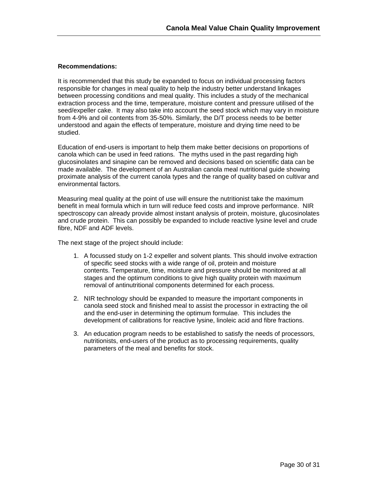#### **Recommendations:**

It is recommended that this study be expanded to focus on individual processing factors responsible for changes in meal quality to help the industry better understand linkages between processing conditions and meal quality. This includes a study of the mechanical extraction process and the time, temperature, moisture content and pressure utilised of the seed/expeller cake. It may also take into account the seed stock which may vary in moisture from 4-9% and oil contents from 35-50%. Similarly, the D/T process needs to be better understood and again the effects of temperature, moisture and drying time need to be studied.

Education of end-users is important to help them make better decisions on proportions of canola which can be used in feed rations. The myths used in the past regarding high glucosinolates and sinapine can be removed and decisions based on scientific data can be made available. The development of an Australian canola meal nutritional guide showing proximate analysis of the current canola types and the range of quality based on cultivar and environmental factors.

Measuring meal quality at the point of use will ensure the nutritionist take the maximum benefit in meal formula which in turn will reduce feed costs and improve performance. NIR spectroscopy can already provide almost instant analysis of protein, moisture, glucosinolates and crude protein. This can possibly be expanded to include reactive lysine level and crude fibre, NDF and ADF levels.

The next stage of the project should include:

- 1. A focussed study on 1-2 expeller and solvent plants. This should involve extraction of specific seed stocks with a wide range of oil, protein and moisture contents. Temperature, time, moisture and pressure should be monitored at all stages and the optimum conditions to give high quality protein with maximum removal of antinutritional components determined for each process.
- 2. NIR technology should be expanded to measure the important components in canola seed stock and finished meal to assist the processor in extracting the oil and the end-user in determining the optimum formulae. This includes the development of calibrations for reactive lysine, linoleic acid and fibre fractions.
- 3. An education program needs to be established to satisfy the needs of processors, nutritionists, end-users of the product as to processing requirements, quality parameters of the meal and benefits for stock.